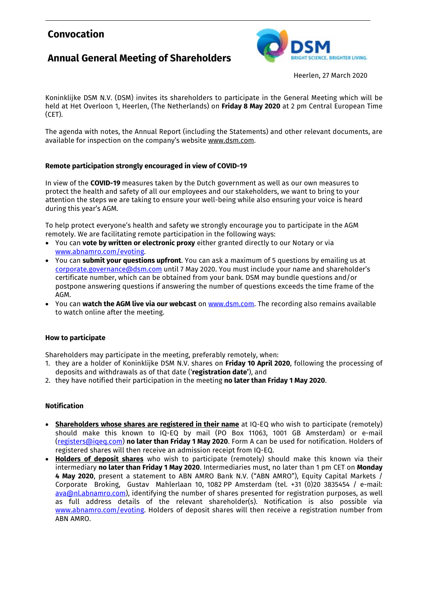# **Convocation**

# **Annual General Meeting of Shareholders**



Heerlen, 27 March 2020

Koninklijke DSM N.V. (DSM) invites its shareholders to participate in the General Meeting which will be held at Het Overloon 1, Heerlen, (The Netherlands) on **Friday 8 May 2020** at 2 pm Central European Time (CET).

The agenda with notes, the Annual Report (including the Statements) and other relevant documents, are available for inspection on the company's website [www.dsm.com.](http://www.dsm.com/)

### **Remote participation strongly encouraged in view of COVID-19**

In view of the **COVID-19** measures taken by the Dutch government as well as our own measures to protect the health and safety of all our employees and our stakeholders, we want to bring to your attention the steps we are taking to ensure your well-being while also ensuring your voice is heard during this year's AGM.

To help protect everyone's health and safety we strongly encourage you to participate in the AGM remotely. We are facilitating remote participation in the following ways:

- You can **vote by written or electronic proxy** either granted directly to our Notary or via [www.abnamro.com/evoting.](http://www.abnamro.com/evoting)
- You can **submit your questions upfront**. You can ask a maximum of 5 questions by emailing us at [corporate.governance@dsm.com](mailto:corporate.governance@dsm.com) until 7 May 2020. You must include your name and shareholder's certificate number, which can be obtained from your bank. DSM may bundle questions and/or postpone answering questions if answering the number of questions exceeds the time frame of the AGM.
- You can **watch the AGM live via our webcast** on [www.dsm.com.](http://www.dsm.com/) The recording also remains available to watch online after the meeting.

#### **How to participate**

Shareholders may participate in the meeting, preferably remotely, when:

- 1. they are a holder of Koninklijke DSM N.V. shares on **Friday 10 April 2020**, following the processing of deposits and withdrawals as of that date ('**registration date'**), and
- 2. they have notified their participation in the meeting **no later than Friday 1 May 2020**.

#### **Notification**

- **Shareholders whose shares are registered in their name** at IQ-EQ who wish to participate (remotely) should make this known to IQ-EQ by mail (PO Box 11063, 1001 GB Amsterdam) or e-mail [\(registers@iqeq.com\)](mailto:registers@iqeq.com) **no later than Friday 1 May 2020**. Form A can be used for notification. Holders of registered shares will then receive an admission receipt from IQ-EQ.
- **Holders of deposit shares** who wish to participate (remotely) should make this known via their intermediary **no later than Friday 1 May 2020**. Intermediaries must, no later than 1 pm CET on **Monday 4 May 2020**, present a statement to ABN AMRO Bank N.V. ("ABN AMRO"), Equity Capital Markets / Corporate Broking, Gustav Mahlerlaan 10, 1082 PP Amsterdam (tel. +31 (0)20 3835454 / e-mail: [ava@nl.abnamro.com\)](mailto:ava@nl.abnamro.com), identifying the number of shares presented for registration purposes, as well as full address details of the relevant shareholder(s). Notification is also possible via [www.abnamro.com/evoting.](http://www.abnamro.com/evoting) Holders of deposit shares will then receive a registration number from ABN AMRO.